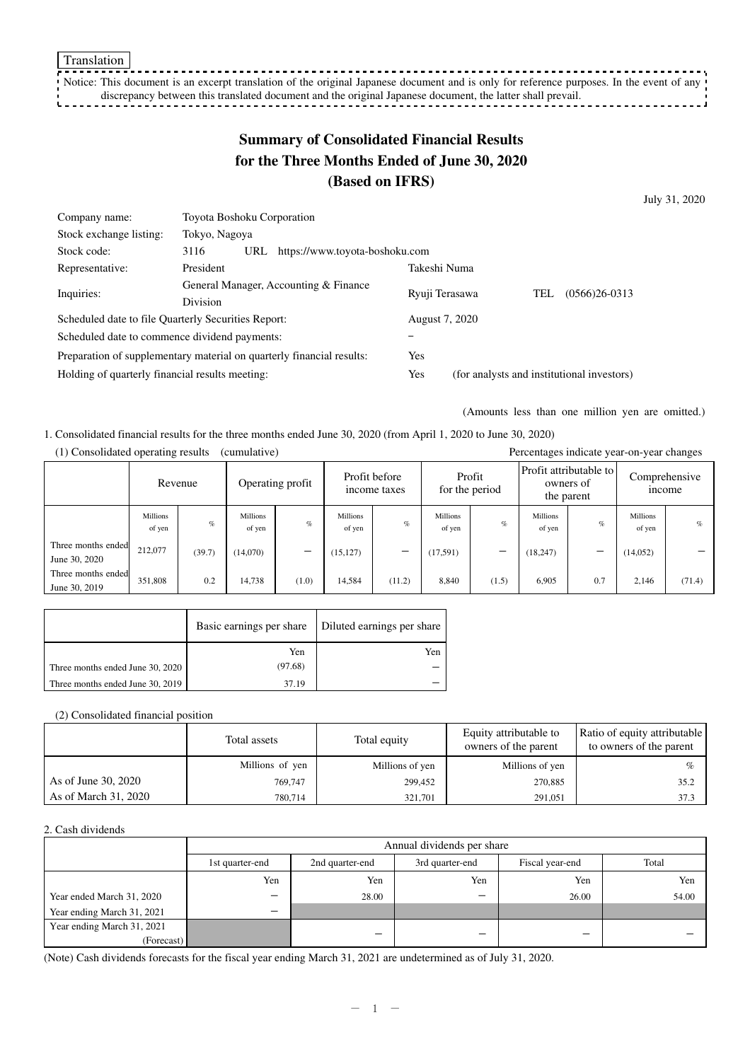Translation

Notice: This document is an excerpt translation of the original Japanese document and is only for reference purposes. In the event of any discrepancy between this translated document and the original Japanese document, the latter shall prevail.

# **Summary of Consolidated Financial Results for the Three Months Ended of June 30, 2020 (Based on IFRS)**

July 31, 2020

| Company name:                                                         | Toyota Boshoku Corporation                    |                |                |                                            |  |  |
|-----------------------------------------------------------------------|-----------------------------------------------|----------------|----------------|--------------------------------------------|--|--|
| Stock exchange listing:                                               | Tokyo, Nagoya                                 |                |                |                                            |  |  |
| Stock code:                                                           | 3116<br>URL<br>https://www.toyota-boshoku.com |                |                |                                            |  |  |
| Representative:                                                       | President                                     | Takeshi Numa   |                |                                            |  |  |
| Inquiries:                                                            | General Manager, Accounting & Finance         | Ryuji Terasawa |                | $(0566)26-0313$<br>TEL                     |  |  |
|                                                                       | <b>Division</b>                               |                |                |                                            |  |  |
| Scheduled date to file Quarterly Securities Report:                   |                                               |                | August 7, 2020 |                                            |  |  |
| Scheduled date to commence dividend payments:                         |                                               |                |                |                                            |  |  |
| Preparation of supplementary material on quarterly financial results: |                                               |                |                |                                            |  |  |
| Holding of quarterly financial results meeting:                       |                                               |                |                | (for analysts and institutional investors) |  |  |

(Amounts less than one million yen are omitted.)

#### 1. Consolidated financial results for the three months ended June 30, 2020 (from April 1, 2020 to June 30, 2020) (1) Consolidated operating results (cumulative) Percentages indicate year-on-year changes

|                                     | 1) Consondated operating results<br>$(c$ umurative)<br>Percentages indicate year-on-year changes |         |                    |                  |                    |                               |                           |        |                    |                                      |                           |               |
|-------------------------------------|--------------------------------------------------------------------------------------------------|---------|--------------------|------------------|--------------------|-------------------------------|---------------------------|--------|--------------------|--------------------------------------|---------------------------|---------------|
|                                     |                                                                                                  | Revenue |                    | Operating profit |                    | Profit before<br>income taxes | for the period            | Profit | owners of          | Profit attributable to<br>the parent | Comprehensive             | <i>n</i> come |
|                                     | <b>Millions</b><br>of yen                                                                        | $\%$    | Millions<br>of yen | $\%$             | Millions<br>of yen | $\%$                          | <b>Millions</b><br>of yen | $\%$   | Millions<br>of yen | $\%$                                 | <b>Millions</b><br>of yen | $\%$          |
| Three months ended<br>June 30, 2020 | 212,077                                                                                          | (39.7)  | (14,070)           | –                | (15, 127)          | -                             | (17,591)                  | –      | (18, 247)          | -                                    | (14,052)                  |               |
| Three months ended<br>June 30, 2019 | 351,808                                                                                          | 0.2     | 14,738             | (1.0)            | 14,584             | (11.2)                        | 8,840                     | (1.5)  | 6,905              | 0.7                                  | 2,146                     | (71.4)        |

|                                  |         | Basic earnings per share   Diluted earnings per share |
|----------------------------------|---------|-------------------------------------------------------|
|                                  | Yen     | Yen                                                   |
| Three months ended June 30, 2020 | (97.68) |                                                       |
| Three months ended June 30, 2019 | 37.19   |                                                       |

(2) Consolidated financial position

|                      | Total assets    | Total equity    | Equity attributable to<br>owners of the parent | Ratio of equity attributable<br>to owners of the parent |
|----------------------|-----------------|-----------------|------------------------------------------------|---------------------------------------------------------|
|                      | Millions of yen | Millions of yen | Millions of yen                                | $\%$                                                    |
| As of June 30, 2020  | 769,747         | 299,452         | 270,885                                        | 35.2                                                    |
| As of March 31, 2020 | 780,714         | 321.701         | 291.051                                        | 37.3                                                    |

#### 2. Cash dividends

|                            |                 | Annual dividends per share |                 |       |       |  |  |
|----------------------------|-----------------|----------------------------|-----------------|-------|-------|--|--|
|                            | 1st quarter-end | 2nd quarter-end            | Fiscal year-end | Total |       |  |  |
|                            | Yen             | Yen                        | Yen             | Yen   | Yen   |  |  |
| Year ended March 31, 2020  | -               | 28.00                      | -               | 26.00 | 54.00 |  |  |
| Year ending March 31, 2021 | -               |                            |                 |       |       |  |  |
| Year ending March 31, 2021 |                 |                            | _               |       |       |  |  |
| (Forecast)                 |                 |                            |                 |       |       |  |  |

(Note) Cash dividends forecasts for the fiscal year ending March 31, 2021 are undetermined as of July 31, 2020.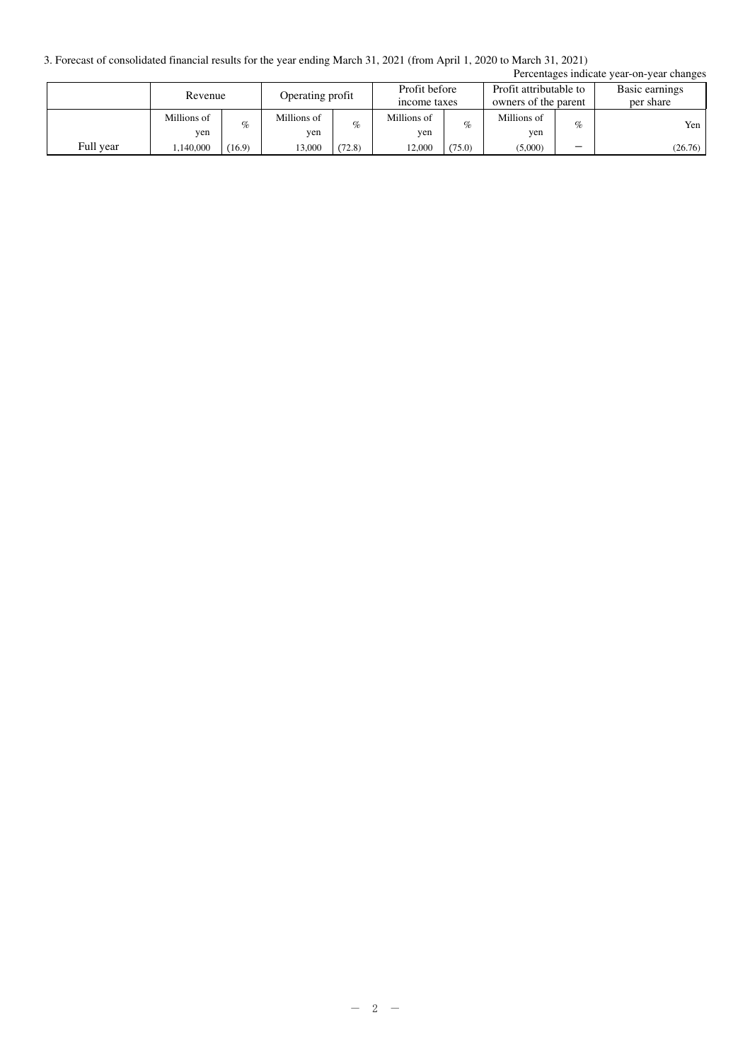3. Forecast of consolidated financial results for the year ending March 31, 2021 (from April 1, 2020 to March 31, 2021)

| Percentages indicate year-on-year changes |                    |        |                    |        |                               |        |                                                |      |                             |
|-------------------------------------------|--------------------|--------|--------------------|--------|-------------------------------|--------|------------------------------------------------|------|-----------------------------|
|                                           | Revenue            |        | Operating profit   |        | Profit before<br>income taxes |        | Profit attributable to<br>owners of the parent |      | Basic earnings<br>per share |
|                                           | Millions of<br>ven | $\%$   | Millions of<br>yen | %      | Millions of<br>yen            | $\%$   | Millions of<br>ven                             | $\%$ | Yen 1                       |
| Full year                                 | ,140,000           | (16.9) | 13,000             | (72.8) | 12,000                        | (75.0) | (5,000)                                        | -    | (26.76)                     |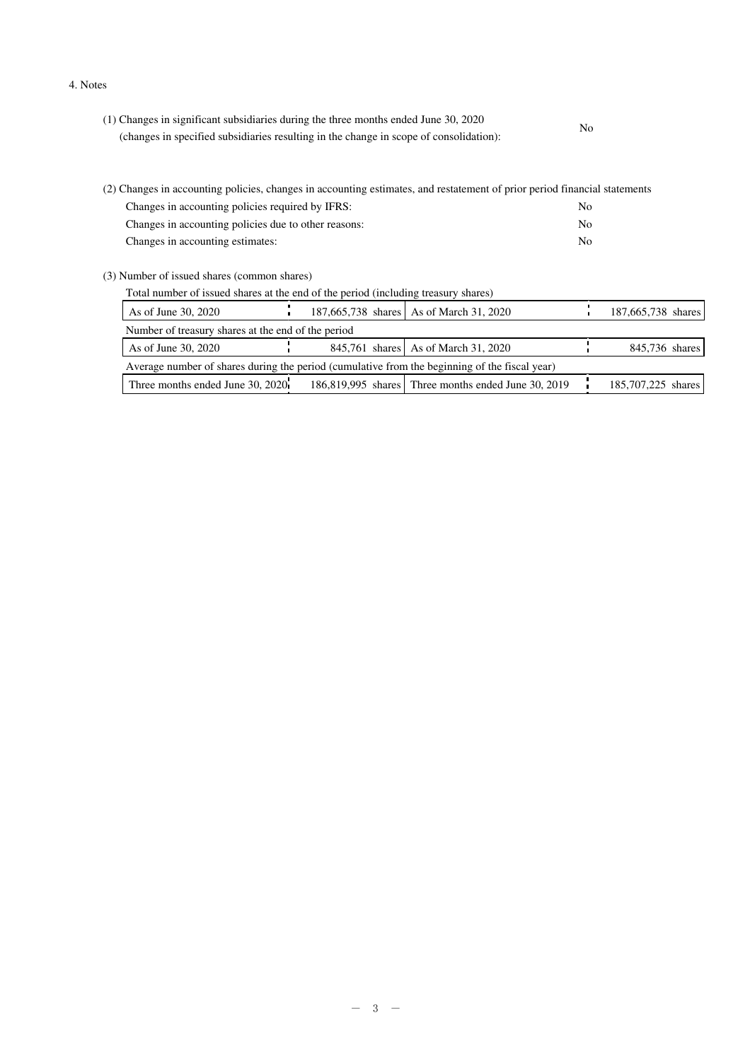#### 4. Notes

| (1) Changes in significant subsidiaries during the three months ended June 30, 2020                                       | No |
|---------------------------------------------------------------------------------------------------------------------------|----|
| (changes in specified subsidiaries resulting in the change in scope of consolidation):                                    |    |
|                                                                                                                           |    |
|                                                                                                                           |    |
| (2) Changes in accounting policies, changes in accounting estimates, and restatement of prior period financial statements |    |

| Changes in accounting policies required by IFRS:     | No |
|------------------------------------------------------|----|
| Changes in accounting policies due to other reasons: | Nο |
| Changes in accounting estimates:                     | No |

(3) Number of issued shares (common shares)

| Total number of issued shares at the end of the period (including treasury shares) |
|------------------------------------------------------------------------------------|
|------------------------------------------------------------------------------------|

| Number of treasury shares at the end of the period                                                            |  |  |  |  |  |
|---------------------------------------------------------------------------------------------------------------|--|--|--|--|--|
|                                                                                                               |  |  |  |  |  |
| 845,761 shares As of March 31, 2020<br>As of June 30, 2020<br>845,736 shares                                  |  |  |  |  |  |
| Average number of shares during the period (cumulative from the beginning of the fiscal year)                 |  |  |  |  |  |
| Three months ended June 30, 2020<br>186,819,995 shares Three months ended June 30, 2019<br>185,707,225 shares |  |  |  |  |  |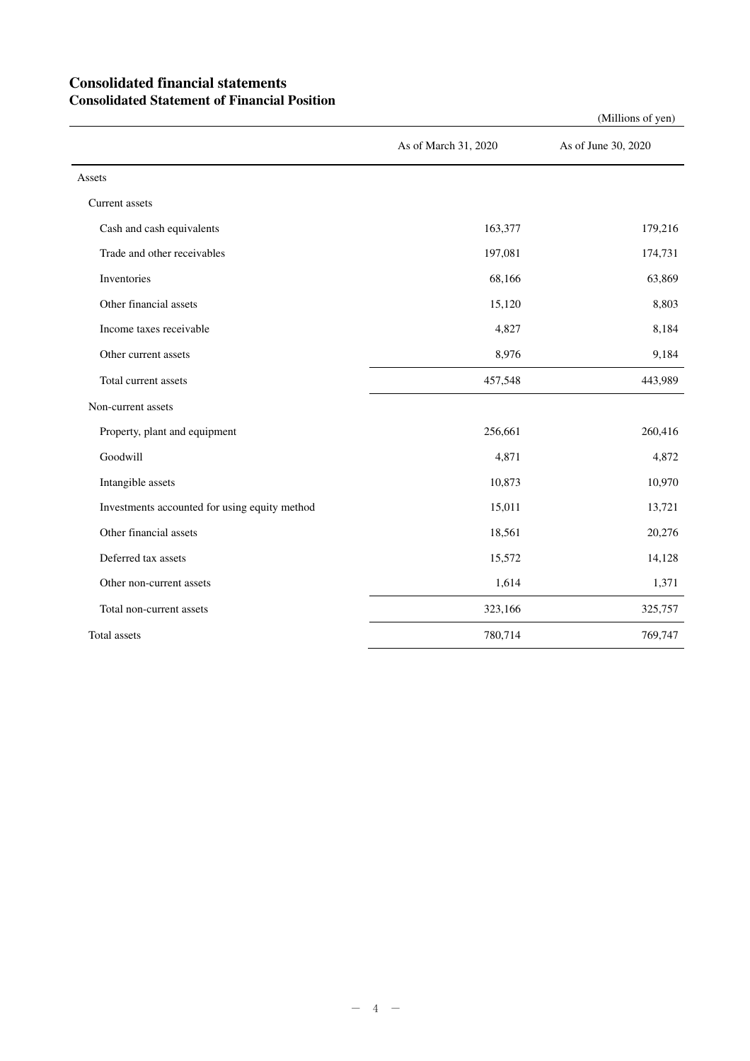## **Consolidated financial statements Consolidated Statement of Financial Position**

|                                               |                      | $($ whinons or $y$ cii) |
|-----------------------------------------------|----------------------|-------------------------|
|                                               | As of March 31, 2020 | As of June 30, 2020     |
| Assets                                        |                      |                         |
| Current assets                                |                      |                         |
| Cash and cash equivalents                     | 163,377              | 179,216                 |
| Trade and other receivables                   | 197,081              | 174,731                 |
| Inventories                                   | 68,166               | 63,869                  |
| Other financial assets                        | 15,120               | 8,803                   |
| Income taxes receivable                       | 4,827                | 8,184                   |
| Other current assets                          | 8,976                | 9,184                   |
| Total current assets                          | 457,548              | 443,989                 |
| Non-current assets                            |                      |                         |
| Property, plant and equipment                 | 256,661              | 260,416                 |
| Goodwill                                      | 4,871                | 4,872                   |
| Intangible assets                             | 10,873               | 10,970                  |
| Investments accounted for using equity method | 15,011               | 13,721                  |
| Other financial assets                        | 18,561               | 20,276                  |
| Deferred tax assets                           | 15,572               | 14,128                  |
| Other non-current assets                      | 1,614                | 1,371                   |
| Total non-current assets                      | 323,166              | 325,757                 |
| Total assets                                  | 780,714              | 769,747                 |

(Millions of yen)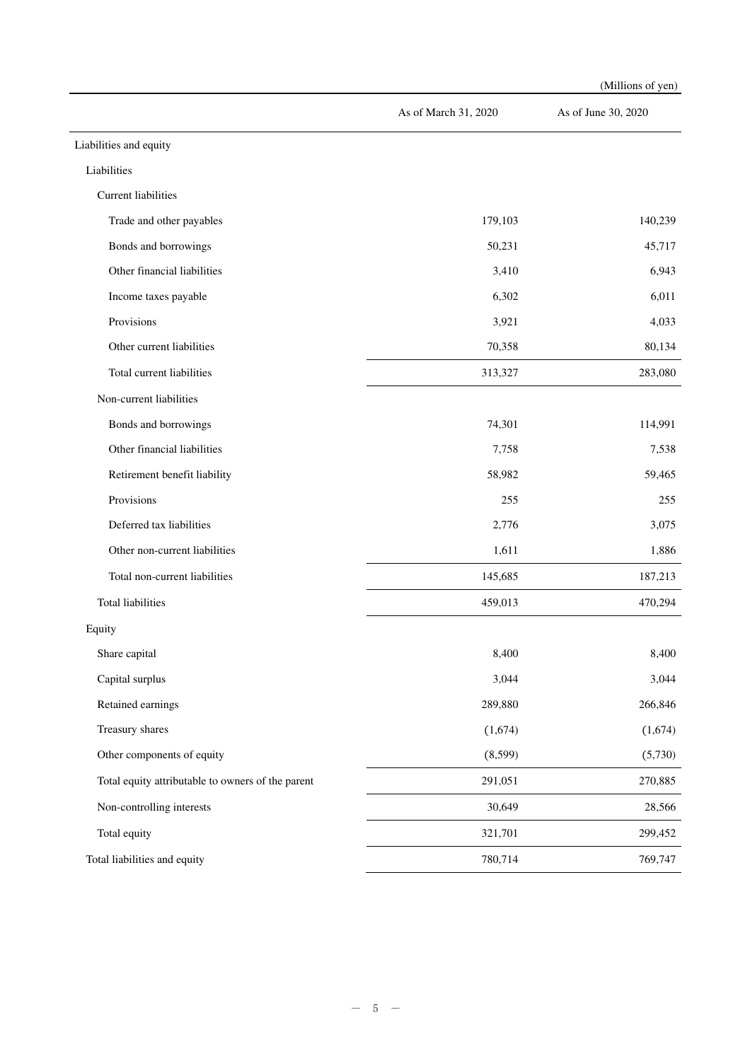|                                                   |                      | (Millions of yen)   |
|---------------------------------------------------|----------------------|---------------------|
|                                                   | As of March 31, 2020 | As of June 30, 2020 |
| Liabilities and equity                            |                      |                     |
| Liabilities                                       |                      |                     |
| <b>Current liabilities</b>                        |                      |                     |
| Trade and other payables                          | 179,103              | 140,239             |
| Bonds and borrowings                              | 50,231               | 45,717              |
| Other financial liabilities                       | 3,410                | 6,943               |
| Income taxes payable                              | 6,302                | 6,011               |
| Provisions                                        | 3,921                | 4,033               |
| Other current liabilities                         | 70,358               | 80,134              |
| Total current liabilities                         | 313,327              | 283,080             |
| Non-current liabilities                           |                      |                     |
| Bonds and borrowings                              | 74,301               | 114,991             |
| Other financial liabilities                       | 7,758                | 7,538               |
| Retirement benefit liability                      | 58,982               | 59,465              |
| Provisions                                        | 255                  | 255                 |
| Deferred tax liabilities                          | 2,776                | 3,075               |
| Other non-current liabilities                     | 1,611                | 1,886               |
| Total non-current liabilities                     | 145,685              | 187,213             |
| <b>Total liabilities</b>                          | 459,013              | 470,294             |
| Equity                                            |                      |                     |
| Share capital                                     | 8,400                | 8,400               |
| Capital surplus                                   | 3,044                | 3,044               |
| Retained earnings                                 | 289,880              | 266,846             |
| Treasury shares                                   | (1,674)              | (1,674)             |
| Other components of equity                        | (8,599)              | (5,730)             |
| Total equity attributable to owners of the parent | 291,051              | 270,885             |
| Non-controlling interests                         | 30,649               | 28,566              |
| Total equity                                      | 321,701              | 299,452             |
| Total liabilities and equity                      | 780,714              | 769,747             |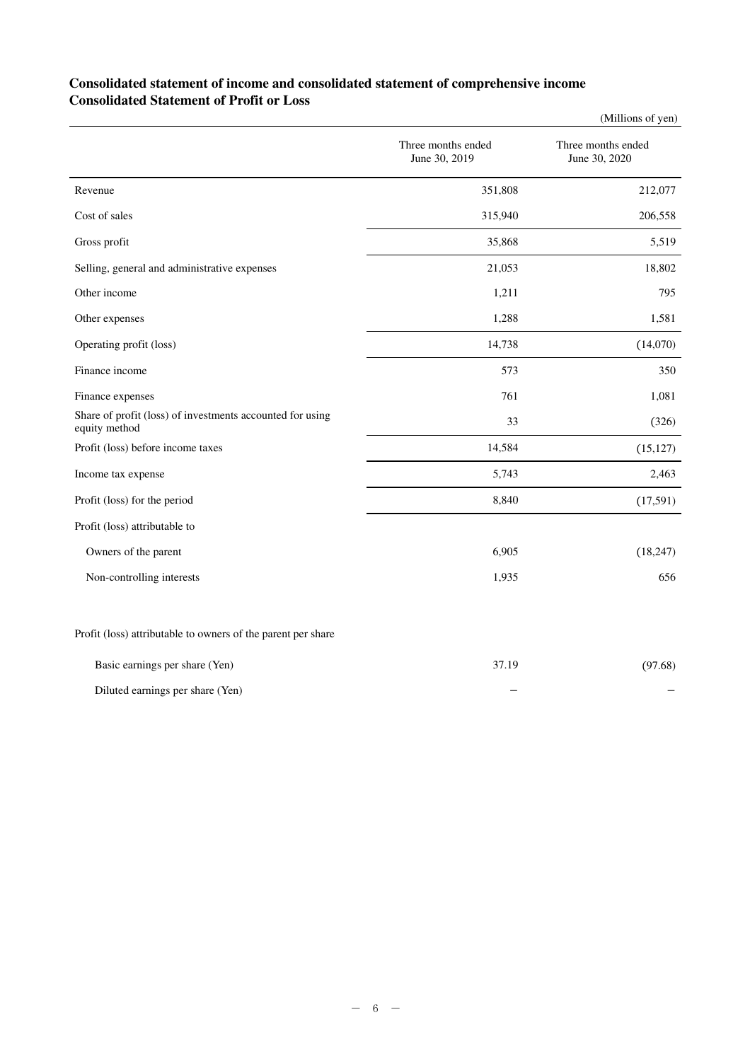## **Consolidated statement of income and consolidated statement of comprehensive income Consolidated Statement of Profit or Loss**

|                                                                            |                                     | (Millions of yen)                   |
|----------------------------------------------------------------------------|-------------------------------------|-------------------------------------|
|                                                                            | Three months ended<br>June 30, 2019 | Three months ended<br>June 30, 2020 |
| Revenue                                                                    | 351,808                             | 212,077                             |
| Cost of sales                                                              | 315,940                             | 206,558                             |
| Gross profit                                                               | 35,868                              | 5,519                               |
| Selling, general and administrative expenses                               | 21,053                              | 18,802                              |
| Other income                                                               | 1,211                               | 795                                 |
| Other expenses                                                             | 1,288                               | 1,581                               |
| Operating profit (loss)                                                    | 14,738                              | (14,070)                            |
| Finance income                                                             | 573                                 | 350                                 |
| Finance expenses                                                           | 761                                 | 1,081                               |
| Share of profit (loss) of investments accounted for using<br>equity method | 33                                  | (326)                               |
| Profit (loss) before income taxes                                          | 14,584                              | (15, 127)                           |
| Income tax expense                                                         | 5,743                               | 2,463                               |
| Profit (loss) for the period                                               | 8,840                               | (17,591)                            |
| Profit (loss) attributable to                                              |                                     |                                     |
| Owners of the parent                                                       | 6,905                               | (18, 247)                           |
| Non-controlling interests                                                  | 1,935                               | 656                                 |
| Profit (loss) attributable to owners of the parent per share               |                                     |                                     |
| Basic earnings per share (Yen)                                             | 37.19                               | (97.68)                             |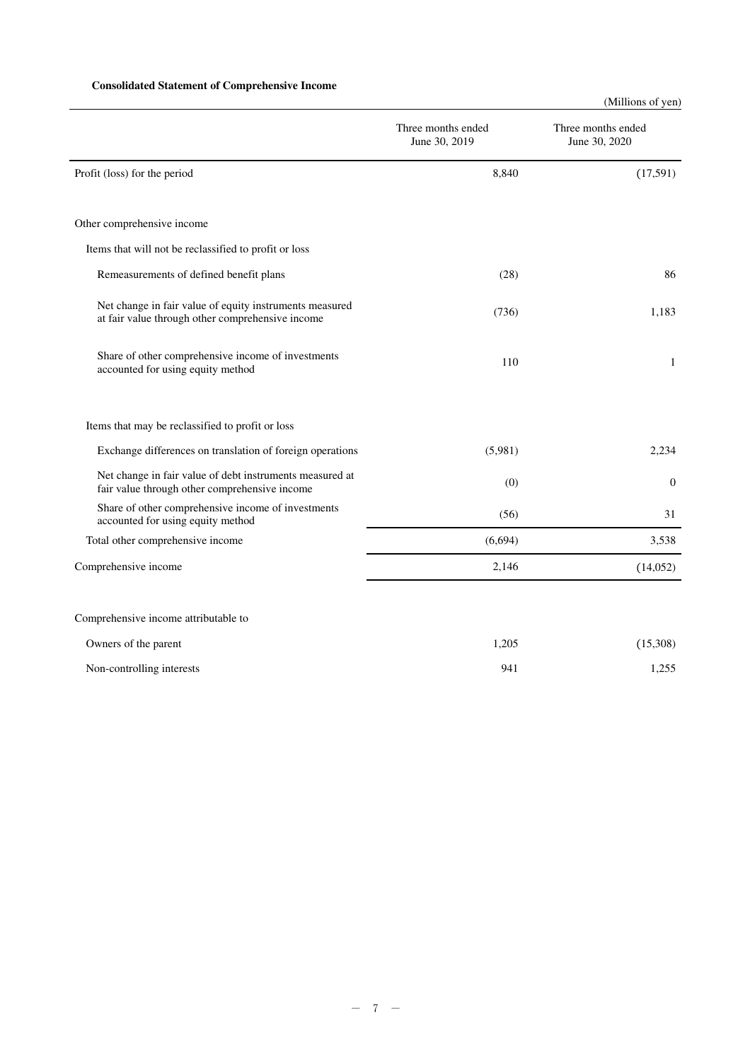### **Consolidated Statement of Comprehensive Income**

(Millions of yen)

|                                                                                                             | Three months ended<br>June 30, 2019 | Three months ended<br>June 30, 2020 |
|-------------------------------------------------------------------------------------------------------------|-------------------------------------|-------------------------------------|
| Profit (loss) for the period                                                                                | 8,840                               | (17,591)                            |
|                                                                                                             |                                     |                                     |
| Other comprehensive income                                                                                  |                                     |                                     |
| Items that will not be reclassified to profit or loss                                                       |                                     |                                     |
| Remeasurements of defined benefit plans                                                                     | (28)                                | 86                                  |
| Net change in fair value of equity instruments measured<br>at fair value through other comprehensive income | (736)                               | 1.183                               |
| Share of other comprehensive income of investments<br>accounted for using equity method                     | 110                                 | 1                                   |
| Items that may be reclassified to profit or loss                                                            |                                     |                                     |
| Exchange differences on translation of foreign operations                                                   | (5,981)                             | 2,234                               |
| Net change in fair value of debt instruments measured at<br>fair value through other comprehensive income   | (0)                                 | $\theta$                            |
| Share of other comprehensive income of investments<br>accounted for using equity method                     | (56)                                | 31                                  |
| Total other comprehensive income                                                                            | (6,694)                             | 3,538                               |
| Comprehensive income                                                                                        | 2,146                               | (14,052)                            |
|                                                                                                             |                                     |                                     |
| Comprehensive income attributable to                                                                        |                                     |                                     |
| Owners of the parent                                                                                        | 1,205                               | (15,308)                            |

Non-controlling interests 1,255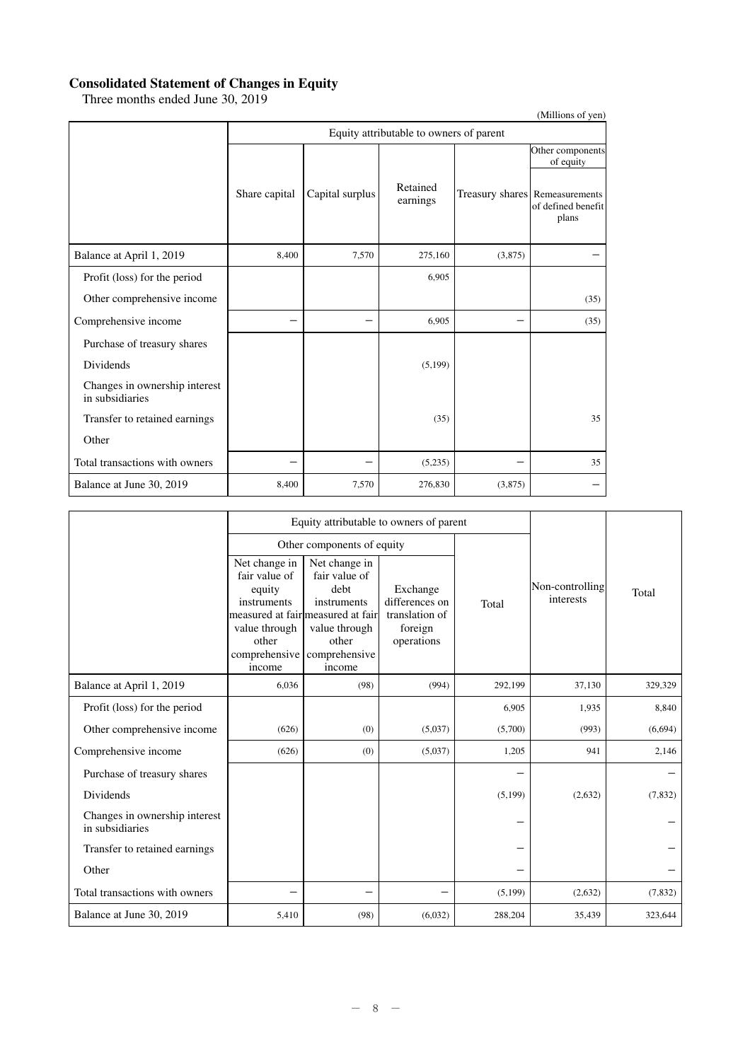### **Consolidated Statement of Changes in Equity**

Three months ended June 30, 2019

|                                                  |               |                                         |                      |         | (Millions of yen)                                             |  |  |  |  |
|--------------------------------------------------|---------------|-----------------------------------------|----------------------|---------|---------------------------------------------------------------|--|--|--|--|
|                                                  |               | Equity attributable to owners of parent |                      |         |                                                               |  |  |  |  |
|                                                  |               |                                         |                      |         | Other components<br>of equity                                 |  |  |  |  |
|                                                  | Share capital | Capital surplus                         | Retained<br>earnings |         | Treasury shares Remeasurements<br>of defined benefit<br>plans |  |  |  |  |
| Balance at April 1, 2019                         | 8,400         | 7,570                                   | 275,160              | (3,875) |                                                               |  |  |  |  |
| Profit (loss) for the period                     |               |                                         | 6,905                |         |                                                               |  |  |  |  |
| Other comprehensive income                       |               |                                         |                      |         | (35)                                                          |  |  |  |  |
| Comprehensive income                             |               |                                         | 6,905                |         | (35)                                                          |  |  |  |  |
| Purchase of treasury shares                      |               |                                         |                      |         |                                                               |  |  |  |  |
| Dividends                                        |               |                                         | (5,199)              |         |                                                               |  |  |  |  |
| Changes in ownership interest<br>in subsidiaries |               |                                         |                      |         |                                                               |  |  |  |  |
| Transfer to retained earnings                    |               |                                         | (35)                 |         | 35                                                            |  |  |  |  |
| Other                                            |               |                                         |                      |         |                                                               |  |  |  |  |
| Total transactions with owners                   |               |                                         | (5,235)              |         | 35                                                            |  |  |  |  |
| Balance at June 30, 2019                         | 8,400         | 7,570                                   | 276,830              | (3,875) |                                                               |  |  |  |  |

|                                                  |                                                                                                                            | Equity attributable to owners of parent                                                                                        |                                                                       |         |                              |          |  |
|--------------------------------------------------|----------------------------------------------------------------------------------------------------------------------------|--------------------------------------------------------------------------------------------------------------------------------|-----------------------------------------------------------------------|---------|------------------------------|----------|--|
|                                                  |                                                                                                                            | Other components of equity                                                                                                     |                                                                       |         |                              |          |  |
|                                                  | Net change in<br>fair value of<br>equity<br>instruments<br>value through<br>other<br>comprehensive comprehensive<br>income | Net change in<br>fair value of<br>debt<br>instruments<br>measured at fair measured at fair<br>value through<br>other<br>income | Exchange<br>differences on<br>translation of<br>foreign<br>operations | Total   | Non-controlling<br>interests | Total    |  |
| Balance at April 1, 2019                         | 6,036                                                                                                                      | (98)                                                                                                                           | (994)                                                                 | 292,199 | 37,130                       | 329,329  |  |
| Profit (loss) for the period                     |                                                                                                                            |                                                                                                                                |                                                                       | 6,905   | 1,935                        | 8,840    |  |
| Other comprehensive income                       | (626)                                                                                                                      | (0)                                                                                                                            | (5,037)                                                               | (5,700) | (993)                        | (6,694)  |  |
| Comprehensive income                             | (626)                                                                                                                      | (0)                                                                                                                            | (5,037)                                                               | 1,205   | 941                          | 2,146    |  |
| Purchase of treasury shares                      |                                                                                                                            |                                                                                                                                |                                                                       |         |                              |          |  |
| Dividends                                        |                                                                                                                            |                                                                                                                                |                                                                       | (5,199) | (2,632)                      | (7, 832) |  |
| Changes in ownership interest<br>in subsidiaries |                                                                                                                            |                                                                                                                                |                                                                       |         |                              |          |  |
| Transfer to retained earnings                    |                                                                                                                            |                                                                                                                                |                                                                       |         |                              |          |  |
| Other                                            |                                                                                                                            |                                                                                                                                |                                                                       |         |                              |          |  |
| Total transactions with owners                   |                                                                                                                            |                                                                                                                                |                                                                       | (5,199) | (2,632)                      | (7, 832) |  |
| Balance at June 30, 2019                         | 5,410                                                                                                                      | (98)                                                                                                                           | (6,032)                                                               | 288,204 | 35,439                       | 323,644  |  |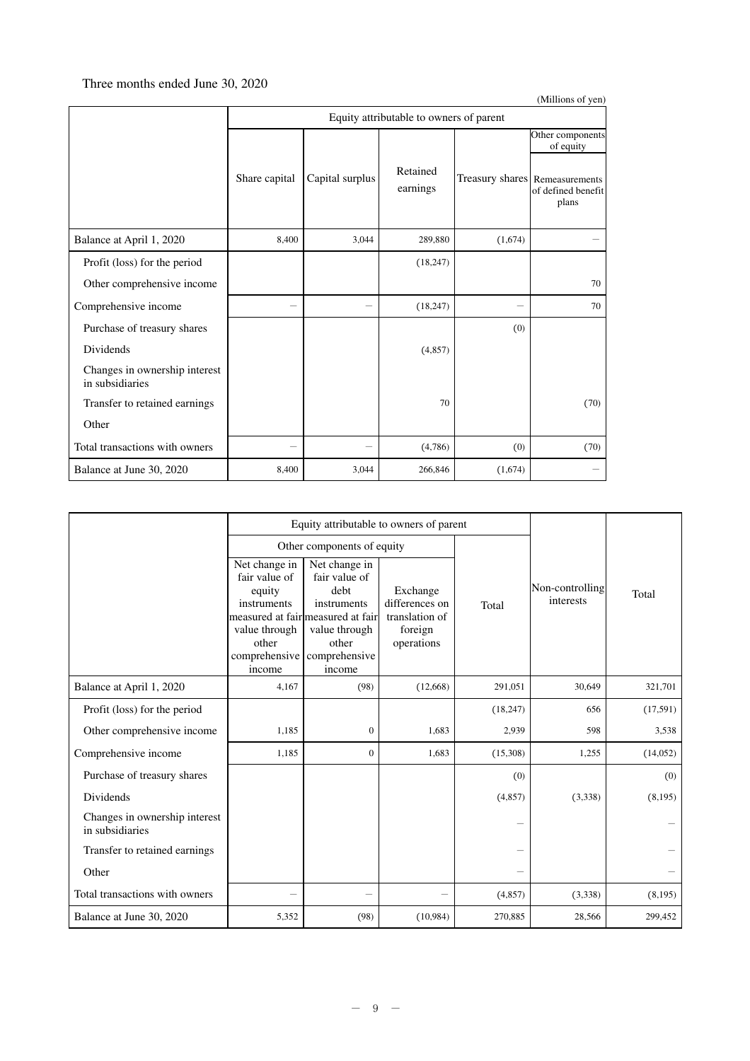### Three months ended June 30, 2020

|                                                  |               |                                         |                               |                                | (Millions of yen)           |  |  |  |  |
|--------------------------------------------------|---------------|-----------------------------------------|-------------------------------|--------------------------------|-----------------------------|--|--|--|--|
|                                                  |               | Equity attributable to owners of parent |                               |                                |                             |  |  |  |  |
|                                                  |               |                                         | Other components<br>of equity |                                |                             |  |  |  |  |
|                                                  | Share capital | Capital surplus                         | Retained<br>earnings          | Treasury shares Remeasurements | of defined benefit<br>plans |  |  |  |  |
| Balance at April 1, 2020                         | 8,400         | 3,044                                   | 289,880                       | (1,674)                        |                             |  |  |  |  |
| Profit (loss) for the period                     |               |                                         | (18, 247)                     |                                |                             |  |  |  |  |
| Other comprehensive income                       |               |                                         |                               |                                | 70                          |  |  |  |  |
| Comprehensive income                             |               |                                         | (18, 247)                     | -                              | 70                          |  |  |  |  |
| Purchase of treasury shares                      |               |                                         |                               | (0)                            |                             |  |  |  |  |
| Dividends                                        |               |                                         | (4, 857)                      |                                |                             |  |  |  |  |
| Changes in ownership interest<br>in subsidiaries |               |                                         |                               |                                |                             |  |  |  |  |
| Transfer to retained earnings                    |               |                                         | 70                            |                                | (70)                        |  |  |  |  |
| Other                                            |               |                                         |                               |                                |                             |  |  |  |  |
| Total transactions with owners                   |               |                                         | (4,786)                       | (0)                            | (70)                        |  |  |  |  |
| Balance at June 30, 2020                         | 8,400         | 3,044                                   | 266,846                       | (1,674)                        |                             |  |  |  |  |

|                                                  |                                                                                                              | Equity attributable to owners of parent                                                                                                         |                                                                       |           |                              |           |
|--------------------------------------------------|--------------------------------------------------------------------------------------------------------------|-------------------------------------------------------------------------------------------------------------------------------------------------|-----------------------------------------------------------------------|-----------|------------------------------|-----------|
|                                                  |                                                                                                              | Other components of equity                                                                                                                      |                                                                       |           |                              |           |
|                                                  | Net change in<br>fair value of<br>equity<br>instruments<br>value through<br>other<br>comprehensive<br>income | Net change in<br>fair value of<br>debt<br>instruments<br>measured at fair measured at fair<br>value through<br>other<br>comprehensive<br>income | Exchange<br>differences on<br>translation of<br>foreign<br>operations | Total     | Non-controlling<br>interests | Total     |
| Balance at April 1, 2020                         | 4,167                                                                                                        | (98)                                                                                                                                            | (12,668)                                                              | 291,051   | 30,649                       | 321,701   |
| Profit (loss) for the period                     |                                                                                                              |                                                                                                                                                 |                                                                       | (18, 247) | 656                          | (17,591)  |
| Other comprehensive income                       | 1,185                                                                                                        | $\mathbf{0}$                                                                                                                                    | 1,683                                                                 | 2,939     | 598                          | 3,538     |
| Comprehensive income                             | 1,185                                                                                                        | $\mathbf{0}$                                                                                                                                    | 1,683                                                                 | (15,308)  | 1,255                        | (14, 052) |
| Purchase of treasury shares                      |                                                                                                              |                                                                                                                                                 |                                                                       | (0)       |                              | (0)       |
| <b>Dividends</b>                                 |                                                                                                              |                                                                                                                                                 |                                                                       | (4,857)   | (3,338)                      | (8,195)   |
| Changes in ownership interest<br>in subsidiaries |                                                                                                              |                                                                                                                                                 |                                                                       |           |                              |           |
| Transfer to retained earnings                    |                                                                                                              |                                                                                                                                                 |                                                                       |           |                              |           |
| Other                                            |                                                                                                              |                                                                                                                                                 |                                                                       |           |                              |           |
| Total transactions with owners                   |                                                                                                              |                                                                                                                                                 |                                                                       | (4,857)   | (3,338)                      | (8,195)   |
| Balance at June 30, 2020                         | 5,352                                                                                                        | (98)                                                                                                                                            | (10,984)                                                              | 270,885   | 28,566                       | 299,452   |